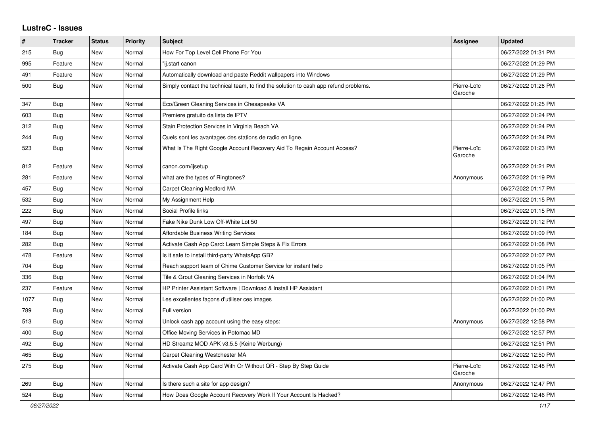## **LustreC - Issues**

| $\pmb{\#}$ | <b>Tracker</b> | <b>Status</b> | <b>Priority</b> | <b>Subject</b>                                                                       | <b>Assignee</b>        | <b>Updated</b>      |
|------------|----------------|---------------|-----------------|--------------------------------------------------------------------------------------|------------------------|---------------------|
| 215        | Bug            | New           | Normal          | How For Top Level Cell Phone For You                                                 |                        | 06/27/2022 01:31 PM |
| 995        | Feature        | <b>New</b>    | Normal          | "ij.start canon                                                                      |                        | 06/27/2022 01:29 PM |
| 491        | Feature        | New           | Normal          | Automatically download and paste Reddit wallpapers into Windows                      |                        | 06/27/2022 01:29 PM |
| 500        | Bug            | New           | Normal          | Simply contact the technical team, to find the solution to cash app refund problems. | Pierre-Loïc<br>Garoche | 06/27/2022 01:26 PM |
| 347        | Bug            | <b>New</b>    | Normal          | Eco/Green Cleaning Services in Chesapeake VA                                         |                        | 06/27/2022 01:25 PM |
| 603        | Bug            | New           | Normal          | Premiere gratuito da lista de IPTV                                                   |                        | 06/27/2022 01:24 PM |
| 312        | Bug            | New           | Normal          | Stain Protection Services in Virginia Beach VA                                       |                        | 06/27/2022 01:24 PM |
| 244        | <b>Bug</b>     | New           | Normal          | Quels sont les avantages des stations de radio en ligne.                             |                        | 06/27/2022 01:24 PM |
| 523        | <b>Bug</b>     | New           | Normal          | What Is The Right Google Account Recovery Aid To Regain Account Access?              | Pierre-Loïc<br>Garoche | 06/27/2022 01:23 PM |
| 812        | Feature        | New           | Normal          | canon.com/ijsetup                                                                    |                        | 06/27/2022 01:21 PM |
| 281        | Feature        | New           | Normal          | what are the types of Ringtones?                                                     | Anonymous              | 06/27/2022 01:19 PM |
| 457        | Bug            | New           | Normal          | Carpet Cleaning Medford MA                                                           |                        | 06/27/2022 01:17 PM |
| 532        | Bug            | New           | Normal          | My Assignment Help                                                                   |                        | 06/27/2022 01:15 PM |
| 222        | Bug            | New           | Normal          | Social Profile links                                                                 |                        | 06/27/2022 01:15 PM |
| 497        | Bug            | New           | Normal          | Fake Nike Dunk Low Off-White Lot 50                                                  |                        | 06/27/2022 01:12 PM |
| 184        | <b>Bug</b>     | New           | Normal          | <b>Affordable Business Writing Services</b>                                          |                        | 06/27/2022 01:09 PM |
| 282        | Bug            | <b>New</b>    | Normal          | Activate Cash App Card: Learn Simple Steps & Fix Errors                              |                        | 06/27/2022 01:08 PM |
| 478        | Feature        | <b>New</b>    | Normal          | Is it safe to install third-party WhatsApp GB?                                       |                        | 06/27/2022 01:07 PM |
| 704        | Bug            | <b>New</b>    | Normal          | Reach support team of Chime Customer Service for instant help                        |                        | 06/27/2022 01:05 PM |
| 336        | Bug            | New           | Normal          | Tile & Grout Cleaning Services in Norfolk VA                                         |                        | 06/27/2022 01:04 PM |
| 237        | Feature        | New           | Normal          | HP Printer Assistant Software   Download & Install HP Assistant                      |                        | 06/27/2022 01:01 PM |
| 1077       | Bug            | New           | Normal          | Les excellentes façons d'utiliser ces images                                         |                        | 06/27/2022 01:00 PM |
| 789        | Bug            | New           | Normal          | Full version                                                                         |                        | 06/27/2022 01:00 PM |
| 513        | <b>Bug</b>     | New           | Normal          | Unlock cash app account using the easy steps:                                        | Anonymous              | 06/27/2022 12:58 PM |
| 400        | Bug            | New           | Normal          | Office Moving Services in Potomac MD                                                 |                        | 06/27/2022 12:57 PM |
| 492        | Bug            | <b>New</b>    | Normal          | HD Streamz MOD APK v3.5.5 (Keine Werbung)                                            |                        | 06/27/2022 12:51 PM |
| 465        | <b>Bug</b>     | New           | Normal          | Carpet Cleaning Westchester MA                                                       |                        | 06/27/2022 12:50 PM |
| 275        | Bug            | <b>New</b>    | Normal          | Activate Cash App Card With Or Without QR - Step By Step Guide                       | Pierre-Loïc<br>Garoche | 06/27/2022 12:48 PM |
| 269        | Bug            | <b>New</b>    | Normal          | Is there such a site for app design?                                                 | Anonymous              | 06/27/2022 12:47 PM |
| 524        | Bug            | New           | Normal          | How Does Google Account Recovery Work If Your Account Is Hacked?                     |                        | 06/27/2022 12:46 PM |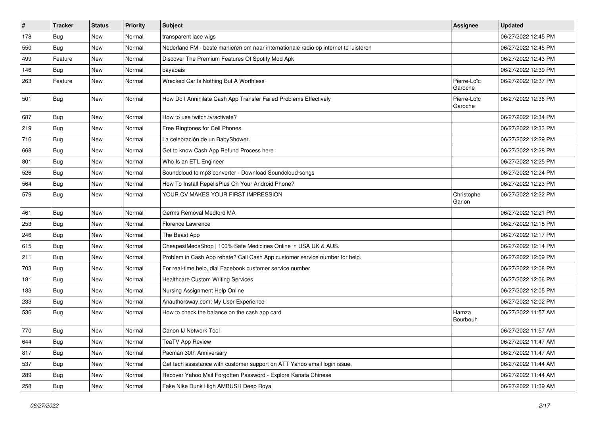| $\pmb{\sharp}$ | <b>Tracker</b> | <b>Status</b> | <b>Priority</b> | <b>Subject</b>                                                                      | Assignee               | <b>Updated</b>      |
|----------------|----------------|---------------|-----------------|-------------------------------------------------------------------------------------|------------------------|---------------------|
| 178            | <b>Bug</b>     | New           | Normal          | transparent lace wigs                                                               |                        | 06/27/2022 12:45 PM |
| 550            | Bug            | New           | Normal          | Nederland FM - beste manieren om naar internationale radio op internet te luisteren |                        | 06/27/2022 12:45 PM |
| 499            | Feature        | New           | Normal          | Discover The Premium Features Of Spotify Mod Apk                                    |                        | 06/27/2022 12:43 PM |
| 146            | <b>Bug</b>     | New           | Normal          | bayabais                                                                            |                        | 06/27/2022 12:39 PM |
| 263            | Feature        | New           | Normal          | Wrecked Car Is Nothing But A Worthless                                              | Pierre-Loïc<br>Garoche | 06/27/2022 12:37 PM |
| 501            | Bug            | New           | Normal          | How Do I Annihilate Cash App Transfer Failed Problems Effectively                   | Pierre-Loïc<br>Garoche | 06/27/2022 12:36 PM |
| 687            | <b>Bug</b>     | New           | Normal          | How to use twitch.tv/activate?                                                      |                        | 06/27/2022 12:34 PM |
| 219            | <b>Bug</b>     | New           | Normal          | Free Ringtones for Cell Phones.                                                     |                        | 06/27/2022 12:33 PM |
| 716            | Bug            | New           | Normal          | La celebración de un BabyShower.                                                    |                        | 06/27/2022 12:29 PM |
| 668            | <b>Bug</b>     | <b>New</b>    | Normal          | Get to know Cash App Refund Process here                                            |                        | 06/27/2022 12:28 PM |
| 801            | Bug            | New           | Normal          | Who Is an ETL Engineer                                                              |                        | 06/27/2022 12:25 PM |
| 526            | <b>Bug</b>     | New           | Normal          | Soundcloud to mp3 converter - Download Soundcloud songs                             |                        | 06/27/2022 12:24 PM |
| 564            | <b>Bug</b>     | New           | Normal          | How To Install RepelisPlus On Your Android Phone?                                   |                        | 06/27/2022 12:23 PM |
| 579            | <b>Bug</b>     | New           | Normal          | YOUR CV MAKES YOUR FIRST IMPRESSION                                                 | Christophe<br>Garion   | 06/27/2022 12:22 PM |
| 461            | Bug            | <b>New</b>    | Normal          | Germs Removal Medford MA                                                            |                        | 06/27/2022 12:21 PM |
| 253            | <b>Bug</b>     | New           | Normal          | Florence Lawrence                                                                   |                        | 06/27/2022 12:18 PM |
| 246            | <b>Bug</b>     | <b>New</b>    | Normal          | The Beast App                                                                       |                        | 06/27/2022 12:17 PM |
| 615            | Bug            | New           | Normal          | CheapestMedsShop   100% Safe Medicines Online in USA UK & AUS.                      |                        | 06/27/2022 12:14 PM |
| 211            | <b>Bug</b>     | New           | Normal          | Problem in Cash App rebate? Call Cash App customer service number for help.         |                        | 06/27/2022 12:09 PM |
| 703            | <b>Bug</b>     | New           | Normal          | For real-time help, dial Facebook customer service number                           |                        | 06/27/2022 12:08 PM |
| 181            | Bug            | New           | Normal          | Healthcare Custom Writing Services                                                  |                        | 06/27/2022 12:06 PM |
| 183            | <b>Bug</b>     | New           | Normal          | Nursing Assignment Help Online                                                      |                        | 06/27/2022 12:05 PM |
| 233            | Bug            | New           | Normal          | Anauthorsway.com: My User Experience                                                |                        | 06/27/2022 12:02 PM |
| 536            | Bug            | New           | Normal          | How to check the balance on the cash app card                                       | Hamza<br>Bourbouh      | 06/27/2022 11:57 AM |
| 770            | <b>Bug</b>     | New           | Normal          | Canon IJ Network Tool                                                               |                        | 06/27/2022 11:57 AM |
| 644            | <b>Bug</b>     | New           | Normal          | <b>TeaTV App Review</b>                                                             |                        | 06/27/2022 11:47 AM |
| 817            | Bug            | New           | Normal          | Pacman 30th Anniversary                                                             |                        | 06/27/2022 11:47 AM |
| 537            | Bug            | New           | Normal          | Get tech assistance with customer support on ATT Yahoo email login issue.           |                        | 06/27/2022 11:44 AM |
| 289            | <b>Bug</b>     | New           | Normal          | Recover Yahoo Mail Forgotten Password - Explore Kanata Chinese                      |                        | 06/27/2022 11:44 AM |
| 258            | <b>Bug</b>     | New           | Normal          | Fake Nike Dunk High AMBUSH Deep Royal                                               |                        | 06/27/2022 11:39 AM |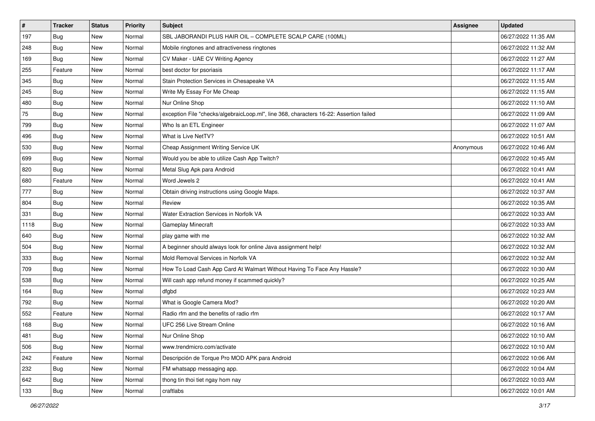| #    | <b>Tracker</b> | <b>Status</b> | <b>Priority</b> | <b>Subject</b>                                                                         | <b>Assignee</b> | <b>Updated</b>      |
|------|----------------|---------------|-----------------|----------------------------------------------------------------------------------------|-----------------|---------------------|
| 197  | <b>Bug</b>     | New           | Normal          | SBL JABORANDI PLUS HAIR OIL - COMPLETE SCALP CARE (100ML)                              |                 | 06/27/2022 11:35 AM |
| 248  | Bug            | New           | Normal          | Mobile ringtones and attractiveness ringtones                                          |                 | 06/27/2022 11:32 AM |
| 169  | Bug            | New           | Normal          | CV Maker - UAE CV Writing Agency                                                       |                 | 06/27/2022 11:27 AM |
| 255  | Feature        | New           | Normal          | best doctor for psoriasis                                                              |                 | 06/27/2022 11:17 AM |
| 345  | Bug            | New           | Normal          | Stain Protection Services in Chesapeake VA                                             |                 | 06/27/2022 11:15 AM |
| 245  | <b>Bug</b>     | New           | Normal          | Write My Essay For Me Cheap                                                            |                 | 06/27/2022 11:15 AM |
| 480  | Bug            | New           | Normal          | Nur Online Shop                                                                        |                 | 06/27/2022 11:10 AM |
| 75   | Bug            | New           | Normal          | exception File "checks/algebraicLoop.ml", line 368, characters 16-22: Assertion failed |                 | 06/27/2022 11:09 AM |
| 799  | Bug            | New           | Normal          | Who Is an ETL Engineer                                                                 |                 | 06/27/2022 11:07 AM |
| 496  | <b>Bug</b>     | New           | Normal          | What is Live NetTV?                                                                    |                 | 06/27/2022 10:51 AM |
| 530  | Bug            | New           | Normal          | Cheap Assignment Writing Service UK                                                    | Anonymous       | 06/27/2022 10:46 AM |
| 699  | Bug            | New           | Normal          | Would you be able to utilize Cash App Twitch?                                          |                 | 06/27/2022 10:45 AM |
| 820  | Bug            | New           | Normal          | Metal Slug Apk para Android                                                            |                 | 06/27/2022 10:41 AM |
| 680  | Feature        | New           | Normal          | Word Jewels 2                                                                          |                 | 06/27/2022 10:41 AM |
| 777  | <b>Bug</b>     | New           | Normal          | Obtain driving instructions using Google Maps.                                         |                 | 06/27/2022 10:37 AM |
| 804  | Bug            | New           | Normal          | Review                                                                                 |                 | 06/27/2022 10:35 AM |
| 331  | <b>Bug</b>     | New           | Normal          | Water Extraction Services in Norfolk VA                                                |                 | 06/27/2022 10:33 AM |
| 1118 | Bug            | New           | Normal          | <b>Gameplay Minecraft</b>                                                              |                 | 06/27/2022 10:33 AM |
| 640  | <b>Bug</b>     | New           | Normal          | play game with me                                                                      |                 | 06/27/2022 10:32 AM |
| 504  | Bug            | New           | Normal          | A beginner should always look for online Java assignment help!                         |                 | 06/27/2022 10:32 AM |
| 333  | Bug            | New           | Normal          | Mold Removal Services in Norfolk VA                                                    |                 | 06/27/2022 10:32 AM |
| 709  | Bug            | New           | Normal          | How To Load Cash App Card At Walmart Without Having To Face Any Hassle?                |                 | 06/27/2022 10:30 AM |
| 538  | Bug            | New           | Normal          | Will cash app refund money if scammed quickly?                                         |                 | 06/27/2022 10:25 AM |
| 164  | <b>Bug</b>     | New           | Normal          | dfgbd                                                                                  |                 | 06/27/2022 10:23 AM |
| 792  | Bug            | New           | Normal          | What is Google Camera Mod?                                                             |                 | 06/27/2022 10:20 AM |
| 552  | Feature        | New           | Normal          | Radio rfm and the benefits of radio rfm                                                |                 | 06/27/2022 10:17 AM |
| 168  | <b>Bug</b>     | New           | Normal          | UFC 256 Live Stream Online                                                             |                 | 06/27/2022 10:16 AM |
| 481  | <b>Bug</b>     | New           | Normal          | Nur Online Shop                                                                        |                 | 06/27/2022 10:10 AM |
| 506  | Bug            | New           | Normal          | www.trendmicro.com/activate                                                            |                 | 06/27/2022 10:10 AM |
| 242  | Feature        | New           | Normal          | Descripción de Torque Pro MOD APK para Android                                         |                 | 06/27/2022 10:06 AM |
| 232  | Bug            | New           | Normal          | FM whatsapp messaging app.                                                             |                 | 06/27/2022 10:04 AM |
| 642  | <b>Bug</b>     | New           | Normal          | thong tin thoi tiet ngay hom nay                                                       |                 | 06/27/2022 10:03 AM |
| 133  | <b>Bug</b>     | New           | Normal          | craftlabs                                                                              |                 | 06/27/2022 10:01 AM |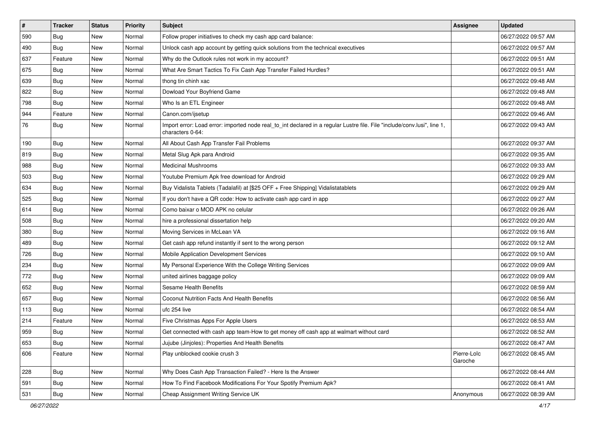| $\vert$ # | <b>Tracker</b> | <b>Status</b> | <b>Priority</b> | Subject                                                                                                                                      | <b>Assignee</b>        | <b>Updated</b>      |
|-----------|----------------|---------------|-----------------|----------------------------------------------------------------------------------------------------------------------------------------------|------------------------|---------------------|
| 590       | <b>Bug</b>     | New           | Normal          | Follow proper initiatives to check my cash app card balance:                                                                                 |                        | 06/27/2022 09:57 AM |
| 490       | Bug            | New           | Normal          | Unlock cash app account by getting quick solutions from the technical executives                                                             |                        | 06/27/2022 09:57 AM |
| 637       | Feature        | New           | Normal          | Why do the Outlook rules not work in my account?                                                                                             |                        | 06/27/2022 09:51 AM |
| 675       | Bug            | New           | Normal          | What Are Smart Tactics To Fix Cash App Transfer Failed Hurdles?                                                                              |                        | 06/27/2022 09:51 AM |
| 639       | Bug            | <b>New</b>    | Normal          | thong tin chinh xac                                                                                                                          |                        | 06/27/2022 09:48 AM |
| 822       | Bug            | New           | Normal          | Dowload Your Boyfriend Game                                                                                                                  |                        | 06/27/2022 09:48 AM |
| 798       | Bug            | New           | Normal          | Who Is an ETL Engineer                                                                                                                       |                        | 06/27/2022 09:48 AM |
| 944       | Feature        | <b>New</b>    | Normal          | Canon.com/ijsetup                                                                                                                            |                        | 06/27/2022 09:46 AM |
| 76        | <b>Bug</b>     | New           | Normal          | Import error: Load error: imported node real_to_int declared in a regular Lustre file. File "include/conv.lusi", line 1,<br>characters 0-64: |                        | 06/27/2022 09:43 AM |
| 190       | Bug            | New           | Normal          | All About Cash App Transfer Fail Problems                                                                                                    |                        | 06/27/2022 09:37 AM |
| 819       | Bug            | New           | Normal          | Metal Slug Apk para Android                                                                                                                  |                        | 06/27/2022 09:35 AM |
| 988       | Bug            | New           | Normal          | <b>Medicinal Mushrooms</b>                                                                                                                   |                        | 06/27/2022 09:33 AM |
| 503       | <b>Bug</b>     | New           | Normal          | Youtube Premium Apk free download for Android                                                                                                |                        | 06/27/2022 09:29 AM |
| 634       | Bug            | New           | Normal          | Buy Vidalista Tablets (Tadalafil) at [\$25 OFF + Free Shipping] Vidalistatablets                                                             |                        | 06/27/2022 09:29 AM |
| 525       | <b>Bug</b>     | <b>New</b>    | Normal          | If you don't have a QR code: How to activate cash app card in app                                                                            |                        | 06/27/2022 09:27 AM |
| 614       | Bug            | New           | Normal          | Como baixar o MOD APK no celular                                                                                                             |                        | 06/27/2022 09:26 AM |
| 508       | Bug            | New           | Normal          | hire a professional dissertation help                                                                                                        |                        | 06/27/2022 09:20 AM |
| 380       | <b>Bug</b>     | New           | Normal          | Moving Services in McLean VA                                                                                                                 |                        | 06/27/2022 09:16 AM |
| 489       | Bug            | New           | Normal          | Get cash app refund instantly if sent to the wrong person                                                                                    |                        | 06/27/2022 09:12 AM |
| 726       | Bug            | New           | Normal          | Mobile Application Development Services                                                                                                      |                        | 06/27/2022 09:10 AM |
| 234       | <b>Bug</b>     | New           | Normal          | My Personal Experience With the College Writing Services                                                                                     |                        | 06/27/2022 09:09 AM |
| 772       | <b>Bug</b>     | <b>New</b>    | Normal          | united airlines baggage policy                                                                                                               |                        | 06/27/2022 09:09 AM |
| 652       | Bug            | New           | Normal          | Sesame Health Benefits                                                                                                                       |                        | 06/27/2022 08:59 AM |
| 657       | <b>Bug</b>     | <b>New</b>    | Normal          | <b>Coconut Nutrition Facts And Health Benefits</b>                                                                                           |                        | 06/27/2022 08:56 AM |
| 113       | Bug            | New           | Normal          | ufc 254 live                                                                                                                                 |                        | 06/27/2022 08:54 AM |
| 214       | Feature        | New           | Normal          | Five Christmas Apps For Apple Users                                                                                                          |                        | 06/27/2022 08:53 AM |
| 959       | Bug            | <b>New</b>    | Normal          | Get connected with cash app team-How to get money off cash app at walmart without card                                                       |                        | 06/27/2022 08:52 AM |
| 653       | Bug            | New           | Normal          | Jujube (Jinjoles): Properties And Health Benefits                                                                                            |                        | 06/27/2022 08:47 AM |
| 606       | Feature        | New           | Normal          | Play unblocked cookie crush 3                                                                                                                | Pierre-Loïc<br>Garoche | 06/27/2022 08:45 AM |
| 228       | Bug            | New           | Normal          | Why Does Cash App Transaction Failed? - Here Is the Answer                                                                                   |                        | 06/27/2022 08:44 AM |
| 591       | Bug            | New           | Normal          | How To Find Facebook Modifications For Your Spotify Premium Apk?                                                                             |                        | 06/27/2022 08:41 AM |
| 531       | <b>Bug</b>     | New           | Normal          | Cheap Assignment Writing Service UK                                                                                                          | Anonymous              | 06/27/2022 08:39 AM |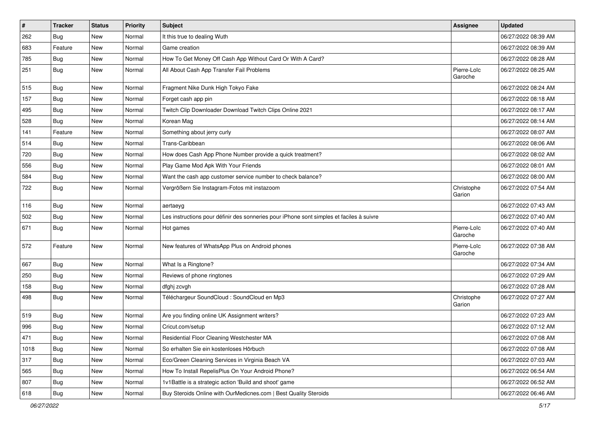| $\sharp$ | <b>Tracker</b> | <b>Status</b> | <b>Priority</b> | <b>Subject</b>                                                                           | <b>Assignee</b>        | <b>Updated</b>      |
|----------|----------------|---------------|-----------------|------------------------------------------------------------------------------------------|------------------------|---------------------|
| 262      | <b>Bug</b>     | New           | Normal          | It this true to dealing Wuth                                                             |                        | 06/27/2022 08:39 AM |
| 683      | Feature        | New           | Normal          | Game creation                                                                            |                        | 06/27/2022 08:39 AM |
| 785      | Bug            | New           | Normal          | How To Get Money Off Cash App Without Card Or With A Card?                               |                        | 06/27/2022 08:28 AM |
| 251      | <b>Bug</b>     | New           | Normal          | All About Cash App Transfer Fail Problems                                                | Pierre-Loïc<br>Garoche | 06/27/2022 08:25 AM |
| 515      | <b>Bug</b>     | New           | Normal          | Fragment Nike Dunk High Tokyo Fake                                                       |                        | 06/27/2022 08:24 AM |
| 157      | Bug            | New           | Normal          | Forget cash app pin                                                                      |                        | 06/27/2022 08:18 AM |
| 495      | Bug            | New           | Normal          | Twitch Clip Downloader Download Twitch Clips Online 2021                                 |                        | 06/27/2022 08:17 AM |
| 528      | <b>Bug</b>     | New           | Normal          | Korean Mag                                                                               |                        | 06/27/2022 08:14 AM |
| 141      | Feature        | <b>New</b>    | Normal          | Something about jerry curly                                                              |                        | 06/27/2022 08:07 AM |
| 514      | Bug            | New           | Normal          | Trans-Caribbean                                                                          |                        | 06/27/2022 08:06 AM |
| 720      | <b>Bug</b>     | New           | Normal          | How does Cash App Phone Number provide a quick treatment?                                |                        | 06/27/2022 08:02 AM |
| 556      | Bug            | New           | Normal          | Play Game Mod Apk With Your Friends                                                      |                        | 06/27/2022 08:01 AM |
| 584      | <b>Bug</b>     | New           | Normal          | Want the cash app customer service number to check balance?                              |                        | 06/27/2022 08:00 AM |
| 722      | <b>Bug</b>     | New           | Normal          | Vergrößern Sie Instagram-Fotos mit instazoom                                             | Christophe<br>Garion   | 06/27/2022 07:54 AM |
| 116      | Bug            | New           | Normal          | aertaeyg                                                                                 |                        | 06/27/2022 07:43 AM |
| 502      | Bug            | <b>New</b>    | Normal          | Les instructions pour définir des sonneries pour iPhone sont simples et faciles à suivre |                        | 06/27/2022 07:40 AM |
| 671      | <b>Bug</b>     | New           | Normal          | Hot games                                                                                | Pierre-Loïc<br>Garoche | 06/27/2022 07:40 AM |
| 572      | Feature        | <b>New</b>    | Normal          | New features of WhatsApp Plus on Android phones                                          | Pierre-Loïc<br>Garoche | 06/27/2022 07:38 AM |
| 667      | Bug            | New           | Normal          | What Is a Ringtone?                                                                      |                        | 06/27/2022 07:34 AM |
| 250      | <b>Bug</b>     | New           | Normal          | Reviews of phone ringtones                                                               |                        | 06/27/2022 07:29 AM |
| 158      | Bug            | New           | Normal          | dfghj zcvgh                                                                              |                        | 06/27/2022 07:28 AM |
| 498      | <b>Bug</b>     | New           | Normal          | Téléchargeur SoundCloud : SoundCloud en Mp3                                              | Christophe<br>Garion   | 06/27/2022 07:27 AM |
| 519      | <b>Bug</b>     | <b>New</b>    | Normal          | Are you finding online UK Assignment writers?                                            |                        | 06/27/2022 07:23 AM |
| 996      | <b>Bug</b>     | New           | Normal          | Cricut.com/setup                                                                         |                        | 06/27/2022 07:12 AM |
| 471      | Bug            | New           | Normal          | Residential Floor Cleaning Westchester MA                                                |                        | 06/27/2022 07:08 AM |
| 1018     | Bug            | New           | Normal          | So erhalten Sie ein kostenloses Hörbuch                                                  |                        | 06/27/2022 07:08 AM |
| 317      | <b>Bug</b>     | New           | Normal          | Eco/Green Cleaning Services in Virginia Beach VA                                         |                        | 06/27/2022 07:03 AM |
| 565      | <b>Bug</b>     | New           | Normal          | How To Install RepelisPlus On Your Android Phone?                                        |                        | 06/27/2022 06:54 AM |
| 807      | <b>Bug</b>     | New           | Normal          | 1v1Battle is a strategic action 'Build and shoot' game                                   |                        | 06/27/2022 06:52 AM |
| 618      | <b>Bug</b>     | New           | Normal          | Buy Steroids Online with OurMedicnes.com   Best Quality Steroids                         |                        | 06/27/2022 06:46 AM |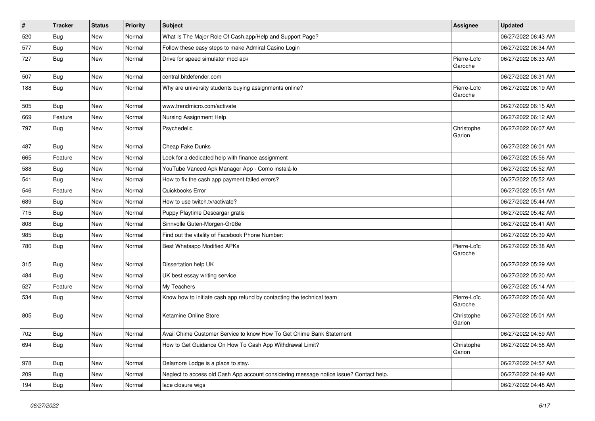| $\vert$ # | <b>Tracker</b> | <b>Status</b> | <b>Priority</b> | <b>Subject</b>                                                                         | <b>Assignee</b>        | <b>Updated</b>      |
|-----------|----------------|---------------|-----------------|----------------------------------------------------------------------------------------|------------------------|---------------------|
| 520       | <b>Bug</b>     | New           | Normal          | What Is The Major Role Of Cash.app/Help and Support Page?                              |                        | 06/27/2022 06:43 AM |
| 577       | Bug            | New           | Normal          | Follow these easy steps to make Admiral Casino Login                                   |                        | 06/27/2022 06:34 AM |
| 727       | Bug            | New           | Normal          | Drive for speed simulator mod apk                                                      | Pierre-Loïc<br>Garoche | 06/27/2022 06:33 AM |
| 507       | Bug            | New           | Normal          | central.bitdefender.com                                                                |                        | 06/27/2022 06:31 AM |
| 188       | Bug            | New           | Normal          | Why are university students buying assignments online?                                 | Pierre-Loïc<br>Garoche | 06/27/2022 06:19 AM |
| 505       | Bug            | New           | Normal          | www.trendmicro.com/activate                                                            |                        | 06/27/2022 06:15 AM |
| 669       | Feature        | New           | Normal          | Nursing Assignment Help                                                                |                        | 06/27/2022 06:12 AM |
| 797       | Bug            | New           | Normal          | Psychedelic                                                                            | Christophe<br>Garion   | 06/27/2022 06:07 AM |
| 487       | Bug            | New           | Normal          | Cheap Fake Dunks                                                                       |                        | 06/27/2022 06:01 AM |
| 665       | Feature        | New           | Normal          | Look for a dedicated help with finance assignment                                      |                        | 06/27/2022 05:56 AM |
| 588       | Bug            | New           | Normal          | YouTube Vanced Apk Manager App - Como instalá-lo                                       |                        | 06/27/2022 05:52 AM |
| 541       | <b>Bug</b>     | New           | Normal          | How to fix the cash app payment failed errors?                                         |                        | 06/27/2022 05:52 AM |
| 546       | Feature        | New           | Normal          | Quickbooks Error                                                                       |                        | 06/27/2022 05:51 AM |
| 689       | <b>Bug</b>     | <b>New</b>    | Normal          | How to use twitch.tv/activate?                                                         |                        | 06/27/2022 05:44 AM |
| 715       | Bug            | New           | Normal          | Puppy Playtime Descargar gratis                                                        |                        | 06/27/2022 05:42 AM |
| 808       | Bug            | New           | Normal          | Sinnvolle Guten-Morgen-Grüße                                                           |                        | 06/27/2022 05:41 AM |
| 985       | Bug            | New           | Normal          | Find out the vitality of Facebook Phone Number:                                        |                        | 06/27/2022 05:39 AM |
| 780       | <b>Bug</b>     | New           | Normal          | <b>Best Whatsapp Modified APKs</b>                                                     | Pierre-Loïc<br>Garoche | 06/27/2022 05:38 AM |
| 315       | Bug            | New           | Normal          | Dissertation help UK                                                                   |                        | 06/27/2022 05:29 AM |
| 484       | Bug            | New           | Normal          | UK best essay writing service                                                          |                        | 06/27/2022 05:20 AM |
| 527       | Feature        | New           | Normal          | My Teachers                                                                            |                        | 06/27/2022 05:14 AM |
| 534       | Bug            | New           | Normal          | Know how to initiate cash app refund by contacting the technical team                  | Pierre-Loïc<br>Garoche | 06/27/2022 05:06 AM |
| 805       | Bug            | New           | Normal          | Ketamine Online Store                                                                  | Christophe<br>Garion   | 06/27/2022 05:01 AM |
| 702       | Bug            | New           | Normal          | Avail Chime Customer Service to know How To Get Chime Bank Statement                   |                        | 06/27/2022 04:59 AM |
| 694       | Bug            | New           | Normal          | How to Get Guidance On How To Cash App Withdrawal Limit?                               | Christophe<br>Garion   | 06/27/2022 04:58 AM |
| 978       | Bug            | New           | Normal          | Delamore Lodge is a place to stay.                                                     |                        | 06/27/2022 04:57 AM |
| 209       | Bug            | New           | Normal          | Neglect to access old Cash App account considering message notice issue? Contact help. |                        | 06/27/2022 04:49 AM |
| 194       | <b>Bug</b>     | New           | Normal          | lace closure wigs                                                                      |                        | 06/27/2022 04:48 AM |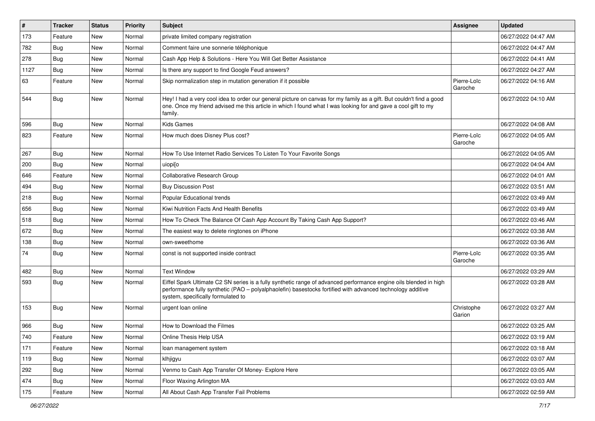| $\vert$ # | Tracker    | <b>Status</b> | Priority | <b>Subject</b>                                                                                                                                                                                                                                                        | <b>Assignee</b>        | <b>Updated</b>      |
|-----------|------------|---------------|----------|-----------------------------------------------------------------------------------------------------------------------------------------------------------------------------------------------------------------------------------------------------------------------|------------------------|---------------------|
| 173       | Feature    | New           | Normal   | private limited company registration                                                                                                                                                                                                                                  |                        | 06/27/2022 04:47 AM |
| 782       | <b>Bug</b> | New           | Normal   | Comment faire une sonnerie téléphonique                                                                                                                                                                                                                               |                        | 06/27/2022 04:47 AM |
| 278       | Bug        | New           | Normal   | Cash App Help & Solutions - Here You Will Get Better Assistance                                                                                                                                                                                                       |                        | 06/27/2022 04:41 AM |
| 1127      | <b>Bug</b> | New           | Normal   | Is there any support to find Google Feud answers?                                                                                                                                                                                                                     |                        | 06/27/2022 04:27 AM |
| 63        | Feature    | New           | Normal   | Skip normalization step in mutation generation if it possible                                                                                                                                                                                                         | Pierre-Loïc<br>Garoche | 06/27/2022 04:16 AM |
| 544       | <b>Bug</b> | New           | Normal   | Hey! I had a very cool idea to order our general picture on canvas for my family as a gift. But couldn't find a good<br>one. Once my friend advised me this article in which I found what I was looking for and gave a cool gift to my<br>family.                     |                        | 06/27/2022 04:10 AM |
| 596       | <b>Bug</b> | New           | Normal   | <b>Kids Games</b>                                                                                                                                                                                                                                                     |                        | 06/27/2022 04:08 AM |
| 823       | Feature    | New           | Normal   | How much does Disney Plus cost?                                                                                                                                                                                                                                       | Pierre-Loïc<br>Garoche | 06/27/2022 04:05 AM |
| 267       | Bug        | New           | Normal   | How To Use Internet Radio Services To Listen To Your Favorite Songs                                                                                                                                                                                                   |                        | 06/27/2022 04:05 AM |
| 200       | <b>Bug</b> | New           | Normal   | uiopi[o                                                                                                                                                                                                                                                               |                        | 06/27/2022 04:04 AM |
| 646       | Feature    | New           | Normal   | Collaborative Research Group                                                                                                                                                                                                                                          |                        | 06/27/2022 04:01 AM |
| 494       | Bug        | New           | Normal   | <b>Buy Discussion Post</b>                                                                                                                                                                                                                                            |                        | 06/27/2022 03:51 AM |
| 218       | Bug        | New           | Normal   | Popular Educational trends                                                                                                                                                                                                                                            |                        | 06/27/2022 03:49 AM |
| 656       | <b>Bug</b> | New           | Normal   | Kiwi Nutrition Facts And Health Benefits                                                                                                                                                                                                                              |                        | 06/27/2022 03:49 AM |
| 518       | Bug        | New           | Normal   | How To Check The Balance Of Cash App Account By Taking Cash App Support?                                                                                                                                                                                              |                        | 06/27/2022 03:46 AM |
| 672       | Bug        | New           | Normal   | The easiest way to delete ringtones on iPhone                                                                                                                                                                                                                         |                        | 06/27/2022 03:38 AM |
| 138       | <b>Bug</b> | New           | Normal   | own-sweethome                                                                                                                                                                                                                                                         |                        | 06/27/2022 03:36 AM |
| 74        | Bug        | New           | Normal   | const is not supported inside contract                                                                                                                                                                                                                                | Pierre-Loïc<br>Garoche | 06/27/2022 03:35 AM |
| 482       | <b>Bug</b> | New           | Normal   | <b>Text Window</b>                                                                                                                                                                                                                                                    |                        | 06/27/2022 03:29 AM |
| 593       | <b>Bug</b> | New           | Normal   | Eiffel Spark Ultimate C2 SN series is a fully synthetic range of advanced performance engine oils blended in high<br>performance fully synthetic (PAO - polyalphaolefin) basestocks fortified with advanced technology additive<br>system, specifically formulated to |                        | 06/27/2022 03:28 AM |
| 153       | Bug        | New           | Normal   | urgent loan online                                                                                                                                                                                                                                                    | Christophe<br>Garion   | 06/27/2022 03:27 AM |
| 966       | Bug        | New           | Normal   | How to Download the Filmes                                                                                                                                                                                                                                            |                        | 06/27/2022 03:25 AM |
| 740       | Feature    | New           | Normal   | Online Thesis Help USA                                                                                                                                                                                                                                                |                        | 06/27/2022 03:19 AM |
| 171       | Feature    | New           | Normal   | loan management system                                                                                                                                                                                                                                                |                        | 06/27/2022 03:18 AM |
| 119       | <b>Bug</b> | New           | Normal   | klhjigyu                                                                                                                                                                                                                                                              |                        | 06/27/2022 03:07 AM |
| 292       | <b>Bug</b> | New           | Normal   | Venmo to Cash App Transfer Of Money- Explore Here                                                                                                                                                                                                                     |                        | 06/27/2022 03:05 AM |
| 474       | <b>Bug</b> | New           | Normal   | Floor Waxing Arlington MA                                                                                                                                                                                                                                             |                        | 06/27/2022 03:03 AM |
| 175       | Feature    | New           | Normal   | All About Cash App Transfer Fail Problems                                                                                                                                                                                                                             |                        | 06/27/2022 02:59 AM |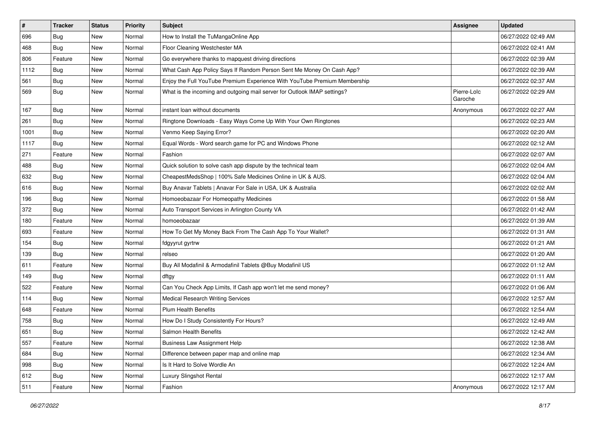| $\sharp$ | <b>Tracker</b> | <b>Status</b> | <b>Priority</b> | <b>Subject</b>                                                            | <b>Assignee</b>        | <b>Updated</b>      |
|----------|----------------|---------------|-----------------|---------------------------------------------------------------------------|------------------------|---------------------|
| 696      | <b>Bug</b>     | New           | Normal          | How to Install the TuMangaOnline App                                      |                        | 06/27/2022 02:49 AM |
| 468      | <b>Bug</b>     | <b>New</b>    | Normal          | Floor Cleaning Westchester MA                                             |                        | 06/27/2022 02:41 AM |
| 806      | Feature        | New           | Normal          | Go everywhere thanks to mapquest driving directions                       |                        | 06/27/2022 02:39 AM |
| 1112     | Bug            | New           | Normal          | What Cash App Policy Says If Random Person Sent Me Money On Cash App?     |                        | 06/27/2022 02:39 AM |
| 561      | Bug            | New           | Normal          | Enjoy the Full YouTube Premium Experience With YouTube Premium Membership |                        | 06/27/2022 02:37 AM |
| 569      | <b>Bug</b>     | New           | Normal          | What is the incoming and outgoing mail server for Outlook IMAP settings?  | Pierre-Loïc<br>Garoche | 06/27/2022 02:29 AM |
| 167      | <b>Bug</b>     | New           | Normal          | instant loan without documents                                            | Anonymous              | 06/27/2022 02:27 AM |
| 261      | <b>Bug</b>     | New           | Normal          | Ringtone Downloads - Easy Ways Come Up With Your Own Ringtones            |                        | 06/27/2022 02:23 AM |
| 1001     | <b>Bug</b>     | New           | Normal          | Venmo Keep Saying Error?                                                  |                        | 06/27/2022 02:20 AM |
| 1117     | <b>Bug</b>     | New           | Normal          | Equal Words - Word search game for PC and Windows Phone                   |                        | 06/27/2022 02:12 AM |
| 271      | Feature        | New           | Normal          | Fashion                                                                   |                        | 06/27/2022 02:07 AM |
| 488      | <b>Bug</b>     | New           | Normal          | Quick solution to solve cash app dispute by the technical team            |                        | 06/27/2022 02:04 AM |
| 632      | <b>Bug</b>     | New           | Normal          | CheapestMedsShop   100% Safe Medicines Online in UK & AUS.                |                        | 06/27/2022 02:04 AM |
| 616      | <b>Bug</b>     | <b>New</b>    | Normal          | Buy Anavar Tablets   Anavar For Sale in USA, UK & Australia               |                        | 06/27/2022 02:02 AM |
| 196      | <b>Bug</b>     | New           | Normal          | Homoeobazaar For Homeopathy Medicines                                     |                        | 06/27/2022 01:58 AM |
| 372      | <b>Bug</b>     | New           | Normal          | Auto Transport Services in Arlington County VA                            |                        | 06/27/2022 01:42 AM |
| 180      | Feature        | New           | Normal          | homoeobazaar                                                              |                        | 06/27/2022 01:39 AM |
| 693      | Feature        | New           | Normal          | How To Get My Money Back From The Cash App To Your Wallet?                |                        | 06/27/2022 01:31 AM |
| 154      | <b>Bug</b>     | New           | Normal          | fdgyyrut gyrtrw                                                           |                        | 06/27/2022 01:21 AM |
| 139      | Bug            | New           | Normal          | relseo                                                                    |                        | 06/27/2022 01:20 AM |
| 611      | Feature        | New           | Normal          | Buy All Modafinil & Armodafinil Tablets @Buy Modafinil US                 |                        | 06/27/2022 01:12 AM |
| 149      | Bug            | New           | Normal          | dftgy                                                                     |                        | 06/27/2022 01:11 AM |
| 522      | Feature        | New           | Normal          | Can You Check App Limits, If Cash app won't let me send money?            |                        | 06/27/2022 01:06 AM |
| 114      | <b>Bug</b>     | New           | Normal          | Medical Research Writing Services                                         |                        | 06/27/2022 12:57 AM |
| 648      | Feature        | New           | Normal          | <b>Plum Health Benefits</b>                                               |                        | 06/27/2022 12:54 AM |
| 758      | <b>Bug</b>     | New           | Normal          | How Do I Study Consistently For Hours?                                    |                        | 06/27/2022 12:49 AM |
| 651      | <b>Bug</b>     | <b>New</b>    | Normal          | Salmon Health Benefits                                                    |                        | 06/27/2022 12:42 AM |
| 557      | Feature        | New           | Normal          | <b>Business Law Assignment Help</b>                                       |                        | 06/27/2022 12:38 AM |
| 684      | Bug            | New           | Normal          | Difference between paper map and online map                               |                        | 06/27/2022 12:34 AM |
| 998      | Bug            | New           | Normal          | Is It Hard to Solve Wordle An                                             |                        | 06/27/2022 12:24 AM |
| 612      | <b>Bug</b>     | New           | Normal          | Luxury Slingshot Rental                                                   |                        | 06/27/2022 12:17 AM |
| 511      | Feature        | New           | Normal          | Fashion                                                                   | Anonymous              | 06/27/2022 12:17 AM |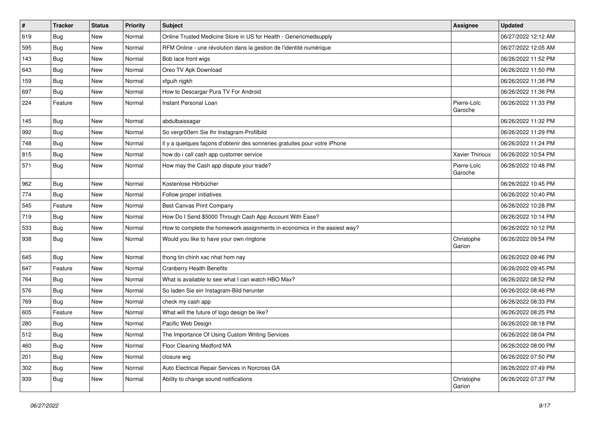| #   | <b>Tracker</b> | <b>Status</b> | <b>Priority</b> | Subject                                                                    | <b>Assignee</b>        | <b>Updated</b>      |
|-----|----------------|---------------|-----------------|----------------------------------------------------------------------------|------------------------|---------------------|
| 619 | <b>Bug</b>     | New           | Normal          | Online Trusted Medicine Store in US for Health - Genericmedsupply          |                        | 06/27/2022 12:12 AM |
| 595 | Bug            | New           | Normal          | RFM Online - une révolution dans la gestion de l'identité numérique        |                        | 06/27/2022 12:05 AM |
| 143 | <b>Bug</b>     | New           | Normal          | Bob lace front wigs                                                        |                        | 06/26/2022 11:52 PM |
| 643 | <b>Bug</b>     | New           | Normal          | Oreo TV Apk Download                                                       |                        | 06/26/2022 11:50 PM |
| 159 | Bug            | New           | Normal          | xfguih njgkh                                                               |                        | 06/26/2022 11:38 PM |
| 697 | <b>Bug</b>     | New           | Normal          | How to Descargar Pura TV For Android                                       |                        | 06/26/2022 11:36 PM |
| 224 | Feature        | New           | Normal          | Instant Personal Loan                                                      | Pierre-Loïc<br>Garoche | 06/26/2022 11:33 PM |
| 145 | Bug            | New           | Normal          | abdulbaissagar                                                             |                        | 06/26/2022 11:32 PM |
| 992 | <b>Bug</b>     | New           | Normal          | So vergrößern Sie Ihr Instagram-Profilbild                                 |                        | 06/26/2022 11:29 PM |
| 748 | <b>Bug</b>     | New           | Normal          | Il y a quelques façons d'obtenir des sonneries gratuites pour votre iPhone |                        | 06/26/2022 11:24 PM |
| 815 | <b>Bug</b>     | New           | Normal          | how do i call cash app customer service                                    | Xavier Thirioux        | 06/26/2022 10:54 PM |
| 571 | <b>Bug</b>     | New           | Normal          | How may the Cash app dispute your trade?                                   | Pierre-Loïc<br>Garoche | 06/26/2022 10:48 PM |
| 962 | <b>Bug</b>     | New           | Normal          | Kostenlose Hörbücher                                                       |                        | 06/26/2022 10:45 PM |
| 774 | Bug            | New           | Normal          | Follow proper initiatives                                                  |                        | 06/26/2022 10:40 PM |
| 545 | Feature        | New           | Normal          | Best Canvas Print Company                                                  |                        | 06/26/2022 10:28 PM |
| 719 | <b>Bug</b>     | New           | Normal          | How Do I Send \$5000 Through Cash App Account With Ease?                   |                        | 06/26/2022 10:14 PM |
| 533 | Bug            | New           | Normal          | How to complete the homework assignments in economics in the easiest way?  |                        | 06/26/2022 10:12 PM |
| 938 | <b>Bug</b>     | New           | Normal          | Would you like to have your own ringtone                                   | Christophe<br>Garion   | 06/26/2022 09:54 PM |
| 645 | <b>Bug</b>     | New           | Normal          | thong tin chinh xac nhat hom nay                                           |                        | 06/26/2022 09:46 PM |
| 647 | Feature        | New           | Normal          | <b>Cranberry Health Benefits</b>                                           |                        | 06/26/2022 09:45 PM |
| 764 | <b>Bug</b>     | New           | Normal          | What is available to see what I can watch HBO Max?                         |                        | 06/26/2022 08:52 PM |
| 576 | <b>Bug</b>     | New           | Normal          | So laden Sie ein Instagram-Bild herunter                                   |                        | 06/26/2022 08:46 PM |
| 769 | Bug            | New           | Normal          | check my cash app                                                          |                        | 06/26/2022 08:33 PM |
| 605 | Feature        | New           | Normal          | What will the future of logo design be like?                               |                        | 06/26/2022 08:25 PM |
| 280 | <b>Bug</b>     | New           | Normal          | Pacific Web Design                                                         |                        | 06/26/2022 08:18 PM |
| 512 | I Bug          | New           | Normal          | The Importance Of Using Custom Writing Services                            |                        | 06/26/2022 08:04 PM |
| 460 | <b>Bug</b>     | New           | Normal          | Floor Cleaning Medford MA                                                  |                        | 06/26/2022 08:00 PM |
| 201 | <b>Bug</b>     | New           | Normal          | closure wig                                                                |                        | 06/26/2022 07:50 PM |
| 302 | <b>Bug</b>     | New           | Normal          | Auto Electrical Repair Services in Norcross GA                             |                        | 06/26/2022 07:49 PM |
| 939 | Bug            | New           | Normal          | Ability to change sound notifications                                      | Christophe<br>Garion   | 06/26/2022 07:37 PM |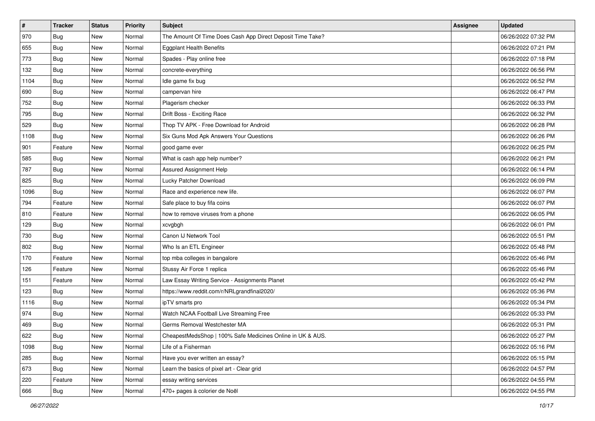| $\vert$ # | <b>Tracker</b> | <b>Status</b> | <b>Priority</b> | <b>Subject</b>                                             | <b>Assignee</b> | <b>Updated</b>      |
|-----------|----------------|---------------|-----------------|------------------------------------------------------------|-----------------|---------------------|
| 970       | <b>Bug</b>     | New           | Normal          | The Amount Of Time Does Cash App Direct Deposit Time Take? |                 | 06/26/2022 07:32 PM |
| 655       | Bug            | New           | Normal          | <b>Eggplant Health Benefits</b>                            |                 | 06/26/2022 07:21 PM |
| 773       | Bug            | New           | Normal          | Spades - Play online free                                  |                 | 06/26/2022 07:18 PM |
| 132       | Bug            | New           | Normal          | concrete-everything                                        |                 | 06/26/2022 06:56 PM |
| 1104      | Bug            | New           | Normal          | Idle game fix bug                                          |                 | 06/26/2022 06:52 PM |
| 690       | Bug            | New           | Normal          | campervan hire                                             |                 | 06/26/2022 06:47 PM |
| 752       | <b>Bug</b>     | New           | Normal          | Plagerism checker                                          |                 | 06/26/2022 06:33 PM |
| 795       | Bug            | <b>New</b>    | Normal          | Drift Boss - Exciting Race                                 |                 | 06/26/2022 06:32 PM |
| 529       | Bug            | New           | Normal          | Thop TV APK - Free Download for Android                    |                 | 06/26/2022 06:28 PM |
| 1108      | <b>Bug</b>     | New           | Normal          | Six Guns Mod Apk Answers Your Questions                    |                 | 06/26/2022 06:26 PM |
| 901       | Feature        | New           | Normal          | good game ever                                             |                 | 06/26/2022 06:25 PM |
| 585       | <b>Bug</b>     | New           | Normal          | What is cash app help number?                              |                 | 06/26/2022 06:21 PM |
| 787       | Bug            | New           | Normal          | Assured Assignment Help                                    |                 | 06/26/2022 06:14 PM |
| 825       | <b>Bug</b>     | New           | Normal          | Lucky Patcher Download                                     |                 | 06/26/2022 06:09 PM |
| 1096      | <b>Bug</b>     | New           | Normal          | Race and experience new life.                              |                 | 06/26/2022 06:07 PM |
| 794       | Feature        | New           | Normal          | Safe place to buy fifa coins                               |                 | 06/26/2022 06:07 PM |
| 810       | Feature        | New           | Normal          | how to remove viruses from a phone                         |                 | 06/26/2022 06:05 PM |
| 129       | <b>Bug</b>     | New           | Normal          | xcvgbgh                                                    |                 | 06/26/2022 06:01 PM |
| 730       | <b>Bug</b>     | New           | Normal          | Canon IJ Network Tool                                      |                 | 06/26/2022 05:51 PM |
| 802       | Bug            | New           | Normal          | Who Is an ETL Engineer                                     |                 | 06/26/2022 05:48 PM |
| 170       | Feature        | New           | Normal          | top mba colleges in bangalore                              |                 | 06/26/2022 05:46 PM |
| 126       | Feature        | New           | Normal          | Stussy Air Force 1 replica                                 |                 | 06/26/2022 05:46 PM |
| 151       | Feature        | New           | Normal          | Law Essay Writing Service - Assignments Planet             |                 | 06/26/2022 05:42 PM |
| 123       | <b>Bug</b>     | New           | Normal          | https://www.reddit.com/r/NRLgrandfinal2020/                |                 | 06/26/2022 05:36 PM |
| 1116      | Bug            | New           | Normal          | ipTV smarts pro                                            |                 | 06/26/2022 05:34 PM |
| 974       | Bug            | New           | Normal          | Watch NCAA Football Live Streaming Free                    |                 | 06/26/2022 05:33 PM |
| 469       | <b>Bug</b>     | New           | Normal          | Germs Removal Westchester MA                               |                 | 06/26/2022 05:31 PM |
| 622       | <b>Bug</b>     | New           | Normal          | CheapestMedsShop   100% Safe Medicines Online in UK & AUS. |                 | 06/26/2022 05:27 PM |
| 1098      | Bug            | New           | Normal          | Life of a Fisherman                                        |                 | 06/26/2022 05:16 PM |
| 285       | Bug            | New           | Normal          | Have you ever written an essay?                            |                 | 06/26/2022 05:15 PM |
| 673       | <b>Bug</b>     | New           | Normal          | Learn the basics of pixel art - Clear grid                 |                 | 06/26/2022 04:57 PM |
| 220       | Feature        | New           | Normal          | essay writing services                                     |                 | 06/26/2022 04:55 PM |
| 666       | <b>Bug</b>     | New           | Normal          | 470+ pages à colorier de Noël                              |                 | 06/26/2022 04:55 PM |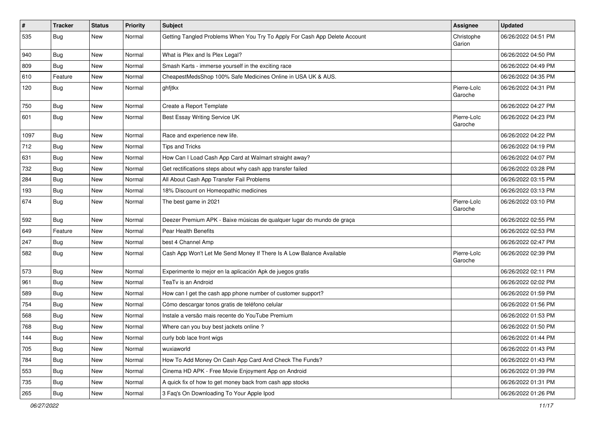| $\vert$ # | <b>Tracker</b> | <b>Status</b> | Priority | <b>Subject</b>                                                             | <b>Assignee</b>        | <b>Updated</b>      |
|-----------|----------------|---------------|----------|----------------------------------------------------------------------------|------------------------|---------------------|
| 535       | <b>Bug</b>     | New           | Normal   | Getting Tangled Problems When You Try To Apply For Cash App Delete Account | Christophe<br>Garion   | 06/26/2022 04:51 PM |
| 940       | Bug            | New           | Normal   | What is Plex and Is Plex Legal?                                            |                        | 06/26/2022 04:50 PM |
| 809       | <b>Bug</b>     | New           | Normal   | Smash Karts - immerse yourself in the exciting race                        |                        | 06/26/2022 04:49 PM |
| 610       | Feature        | New           | Normal   | CheapestMedsShop 100% Safe Medicines Online in USA UK & AUS.               |                        | 06/26/2022 04:35 PM |
| 120       | Bug            | New           | Normal   | ghfjtkx                                                                    | Pierre-Loïc<br>Garoche | 06/26/2022 04:31 PM |
| 750       | Bug            | New           | Normal   | Create a Report Template                                                   |                        | 06/26/2022 04:27 PM |
| 601       | Bug            | New           | Normal   | Best Essay Writing Service UK                                              | Pierre-Loïc<br>Garoche | 06/26/2022 04:23 PM |
| 1097      | Bug            | New           | Normal   | Race and experience new life.                                              |                        | 06/26/2022 04:22 PM |
| 712       | <b>Bug</b>     | New           | Normal   | <b>Tips and Tricks</b>                                                     |                        | 06/26/2022 04:19 PM |
| 631       | Bug            | New           | Normal   | How Can I Load Cash App Card at Walmart straight away?                     |                        | 06/26/2022 04:07 PM |
| 732       | <b>Bug</b>     | New           | Normal   | Get rectifications steps about why cash app transfer failed                |                        | 06/26/2022 03:28 PM |
| 284       | <b>Bug</b>     | New           | Normal   | All About Cash App Transfer Fail Problems                                  |                        | 06/26/2022 03:15 PM |
| 193       | Bug            | New           | Normal   | 18% Discount on Homeopathic medicines                                      |                        | 06/26/2022 03:13 PM |
| 674       | Bug            | New           | Normal   | The best game in 2021                                                      | Pierre-Loïc<br>Garoche | 06/26/2022 03:10 PM |
| 592       | Bug            | New           | Normal   | Deezer Premium APK - Baixe músicas de qualquer lugar do mundo de graça     |                        | 06/26/2022 02:55 PM |
| 649       | Feature        | New           | Normal   | Pear Health Benefits                                                       |                        | 06/26/2022 02:53 PM |
| 247       | Bug            | New           | Normal   | best 4 Channel Amp                                                         |                        | 06/26/2022 02:47 PM |
| 582       | <b>Bug</b>     | New           | Normal   | Cash App Won't Let Me Send Money If There Is A Low Balance Available       | Pierre-Loïc<br>Garoche | 06/26/2022 02:39 PM |
| 573       | Bug            | New           | Normal   | Experimente lo mejor en la aplicación Apk de juegos gratis                 |                        | 06/26/2022 02:11 PM |
| 961       | <b>Bug</b>     | New           | Normal   | TeaTv is an Android                                                        |                        | 06/26/2022 02:02 PM |
| 589       | Bug            | New           | Normal   | How can I get the cash app phone number of customer support?               |                        | 06/26/2022 01:59 PM |
| 754       | <b>Bug</b>     | New           | Normal   | Cómo descargar tonos gratis de teléfono celular                            |                        | 06/26/2022 01:56 PM |
| 568       | <b>Bug</b>     | New           | Normal   | Instale a versão mais recente do YouTube Premium                           |                        | 06/26/2022 01:53 PM |
| 768       | Bug            | New           | Normal   | Where can you buy best jackets online?                                     |                        | 06/26/2022 01:50 PM |
| 144       | Bug            | New           | Normal   | curly bob lace front wigs                                                  |                        | 06/26/2022 01:44 PM |
| 705       | <b>Bug</b>     | New           | Normal   | wuxiaworld                                                                 |                        | 06/26/2022 01:43 PM |
| 784       | <b>Bug</b>     | New           | Normal   | How To Add Money On Cash App Card And Check The Funds?                     |                        | 06/26/2022 01:43 PM |
| 553       | <b>Bug</b>     | New           | Normal   | Cinema HD APK - Free Movie Enjoyment App on Android                        |                        | 06/26/2022 01:39 PM |
| 735       | <b>Bug</b>     | New           | Normal   | A quick fix of how to get money back from cash app stocks                  |                        | 06/26/2022 01:31 PM |
| 265       | <b>Bug</b>     | New           | Normal   | 3 Faq's On Downloading To Your Apple Ipod                                  |                        | 06/26/2022 01:26 PM |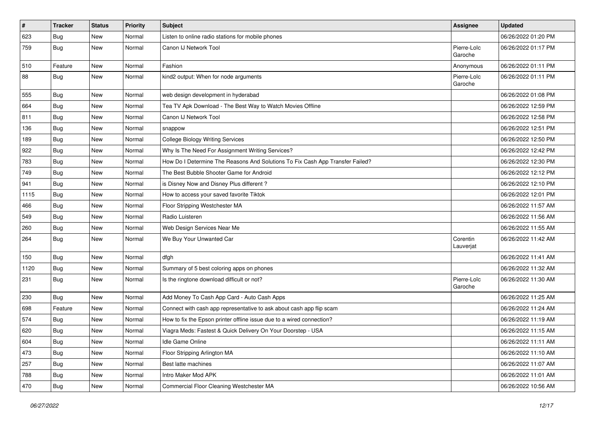| $\vert$ # | <b>Tracker</b> | <b>Status</b> | <b>Priority</b> | <b>Subject</b>                                                                | <b>Assignee</b>        | <b>Updated</b>      |
|-----------|----------------|---------------|-----------------|-------------------------------------------------------------------------------|------------------------|---------------------|
| 623       | Bug            | New           | Normal          | Listen to online radio stations for mobile phones                             |                        | 06/26/2022 01:20 PM |
| 759       | Bug            | New           | Normal          | Canon IJ Network Tool                                                         | Pierre-Loïc<br>Garoche | 06/26/2022 01:17 PM |
| 510       | Feature        | New           | Normal          | Fashion                                                                       | Anonymous              | 06/26/2022 01:11 PM |
| 88        | Bug            | New           | Normal          | kind2 output: When for node arguments                                         | Pierre-Loïc<br>Garoche | 06/26/2022 01:11 PM |
| 555       | Bug            | New           | Normal          | web design development in hyderabad                                           |                        | 06/26/2022 01:08 PM |
| 664       | Bug            | New           | Normal          | Tea TV Apk Download - The Best Way to Watch Movies Offline                    |                        | 06/26/2022 12:59 PM |
| 811       | Bug            | New           | Normal          | Canon IJ Network Tool                                                         |                        | 06/26/2022 12:58 PM |
| 136       | Bug            | New           | Normal          | snappow                                                                       |                        | 06/26/2022 12:51 PM |
| 189       | Bug            | New           | Normal          | <b>College Biology Writing Services</b>                                       |                        | 06/26/2022 12:50 PM |
| 922       | Bug            | New           | Normal          | Why Is The Need For Assignment Writing Services?                              |                        | 06/26/2022 12:42 PM |
| 783       | Bug            | New           | Normal          | How Do I Determine The Reasons And Solutions To Fix Cash App Transfer Failed? |                        | 06/26/2022 12:30 PM |
| 749       | Bug            | New           | Normal          | The Best Bubble Shooter Game for Android                                      |                        | 06/26/2022 12:12 PM |
| 941       | Bug            | New           | Normal          | is Disney Now and Disney Plus different?                                      |                        | 06/26/2022 12:10 PM |
| 1115      | Bug            | New           | Normal          | How to access your saved favorite Tiktok                                      |                        | 06/26/2022 12:01 PM |
| 466       | Bug            | New           | Normal          | Floor Stripping Westchester MA                                                |                        | 06/26/2022 11:57 AM |
| 549       | Bug            | New           | Normal          | Radio Luisteren                                                               |                        | 06/26/2022 11:56 AM |
| 260       | Bug            | New           | Normal          | Web Design Services Near Me                                                   |                        | 06/26/2022 11:55 AM |
| 264       | Bug            | New           | Normal          | We Buy Your Unwanted Car                                                      | Corentin<br>Lauverjat  | 06/26/2022 11:42 AM |
| 150       | Bug            | New           | Normal          | dfgh                                                                          |                        | 06/26/2022 11:41 AM |
| 1120      | <b>Bug</b>     | New           | Normal          | Summary of 5 best coloring apps on phones                                     |                        | 06/26/2022 11:32 AM |
| 231       | Bug            | New           | Normal          | Is the ringtone download difficult or not?                                    | Pierre-Loïc<br>Garoche | 06/26/2022 11:30 AM |
| 230       | Bug            | New           | Normal          | Add Money To Cash App Card - Auto Cash Apps                                   |                        | 06/26/2022 11:25 AM |
| 698       | Feature        | New           | Normal          | Connect with cash app representative to ask about cash app flip scam          |                        | 06/26/2022 11:24 AM |
| 574       | <b>Bug</b>     | New           | Normal          | How to fix the Epson printer offline issue due to a wired connection?         |                        | 06/26/2022 11:19 AM |
| 620       | <b>Bug</b>     | New           | Normal          | Viagra Meds: Fastest & Quick Delivery On Your Doorstep - USA                  |                        | 06/26/2022 11:15 AM |
| 604       | <b>Bug</b>     | New           | Normal          | Idle Game Online                                                              |                        | 06/26/2022 11:11 AM |
| 473       | Bug            | New           | Normal          | Floor Stripping Arlington MA                                                  |                        | 06/26/2022 11:10 AM |
| 257       | <b>Bug</b>     | New           | Normal          | Best latte machines                                                           |                        | 06/26/2022 11:07 AM |
| 788       | <b>Bug</b>     | New           | Normal          | Intro Maker Mod APK                                                           |                        | 06/26/2022 11:01 AM |
| 470       | <b>Bug</b>     | New           | Normal          | Commercial Floor Cleaning Westchester MA                                      |                        | 06/26/2022 10:56 AM |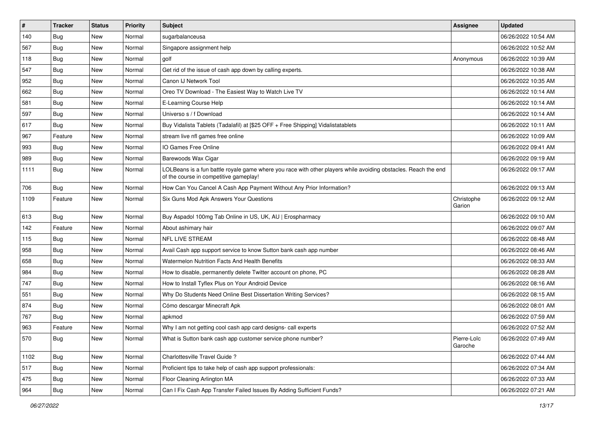| $\vert$ # | <b>Tracker</b> | <b>Status</b> | <b>Priority</b> | <b>Subject</b>                                                                                                                                           | Assignee               | <b>Updated</b>      |
|-----------|----------------|---------------|-----------------|----------------------------------------------------------------------------------------------------------------------------------------------------------|------------------------|---------------------|
| 140       | <b>Bug</b>     | New           | Normal          | sugarbalanceusa                                                                                                                                          |                        | 06/26/2022 10:54 AM |
| 567       | <b>Bug</b>     | New           | Normal          | Singapore assignment help                                                                                                                                |                        | 06/26/2022 10:52 AM |
| 118       | Bug            | New           | Normal          | golf                                                                                                                                                     | Anonymous              | 06/26/2022 10:39 AM |
| 547       | <b>Bug</b>     | <b>New</b>    | Normal          | Get rid of the issue of cash app down by calling experts.                                                                                                |                        | 06/26/2022 10:38 AM |
| 952       | <b>Bug</b>     | New           | Normal          | Canon IJ Network Tool                                                                                                                                    |                        | 06/26/2022 10:35 AM |
| 662       | <b>Bug</b>     | New           | Normal          | Oreo TV Download - The Easiest Way to Watch Live TV                                                                                                      |                        | 06/26/2022 10:14 AM |
| 581       | Bug            | New           | Normal          | E-Learning Course Help                                                                                                                                   |                        | 06/26/2022 10:14 AM |
| 597       | <b>Bug</b>     | New           | Normal          | Universo s / f Download                                                                                                                                  |                        | 06/26/2022 10:14 AM |
| 617       | <b>Bug</b>     | New           | Normal          | Buy Vidalista Tablets (Tadalafil) at [\$25 OFF + Free Shipping] Vidalistatablets                                                                         |                        | 06/26/2022 10:11 AM |
| 967       | Feature        | New           | Normal          | stream live nfl games free online                                                                                                                        |                        | 06/26/2022 10:09 AM |
| 993       | <b>Bug</b>     | New           | Normal          | IO Games Free Online                                                                                                                                     |                        | 06/26/2022 09:41 AM |
| 989       | Bug            | New           | Normal          | Barewoods Wax Cigar                                                                                                                                      |                        | 06/26/2022 09:19 AM |
| 1111      | Bug            | <b>New</b>    | Normal          | LOLBeans is a fun battle royale game where you race with other players while avoiding obstacles. Reach the end<br>of the course in competitive gameplay! |                        | 06/26/2022 09:17 AM |
| 706       | Bug            | New           | Normal          | How Can You Cancel A Cash App Payment Without Any Prior Information?                                                                                     |                        | 06/26/2022 09:13 AM |
| 1109      | Feature        | New           | Normal          | Six Guns Mod Apk Answers Your Questions                                                                                                                  | Christophe<br>Garion   | 06/26/2022 09:12 AM |
| 613       | Bug            | New           | Normal          | Buy Aspadol 100mg Tab Online in US, UK, AU   Erospharmacy                                                                                                |                        | 06/26/2022 09:10 AM |
| 142       | Feature        | New           | Normal          | About ashimary hair                                                                                                                                      |                        | 06/26/2022 09:07 AM |
| 115       | Bug            | New           | Normal          | <b>NFL LIVE STREAM</b>                                                                                                                                   |                        | 06/26/2022 08:48 AM |
| 958       | <b>Bug</b>     | New           | Normal          | Avail Cash app support service to know Sutton bank cash app number                                                                                       |                        | 06/26/2022 08:46 AM |
| 658       | Bug            | New           | Normal          | Watermelon Nutrition Facts And Health Benefits                                                                                                           |                        | 06/26/2022 08:33 AM |
| 984       | <b>Bug</b>     | New           | Normal          | How to disable, permanently delete Twitter account on phone, PC                                                                                          |                        | 06/26/2022 08:28 AM |
| 747       | <b>Bug</b>     | New           | Normal          | How to Install Tyflex Plus on Your Android Device                                                                                                        |                        | 06/26/2022 08:16 AM |
| 551       | <b>Bug</b>     | <b>New</b>    | Normal          | Why Do Students Need Online Best Dissertation Writing Services?                                                                                          |                        | 06/26/2022 08:15 AM |
| 874       | Bug            | <b>New</b>    | Normal          | Cómo descargar Minecraft Apk                                                                                                                             |                        | 06/26/2022 08:01 AM |
| 767       | Bug            | New           | Normal          | apkmod                                                                                                                                                   |                        | 06/26/2022 07:59 AM |
| 963       | Feature        | New           | Normal          | Why I am not getting cool cash app card designs- call experts                                                                                            |                        | 06/26/2022 07:52 AM |
| 570       | Bug            | New           | Normal          | What is Sutton bank cash app customer service phone number?                                                                                              | Pierre-Loïc<br>Garoche | 06/26/2022 07:49 AM |
| 1102      | Bug            | New           | Normal          | Charlottesville Travel Guide ?                                                                                                                           |                        | 06/26/2022 07:44 AM |
| 517       | <b>Bug</b>     | New           | Normal          | Proficient tips to take help of cash app support professionals:                                                                                          |                        | 06/26/2022 07:34 AM |
| 475       | Bug            | New           | Normal          | Floor Cleaning Arlington MA                                                                                                                              |                        | 06/26/2022 07:33 AM |
| 964       | Bug            | New           | Normal          | Can I Fix Cash App Transfer Failed Issues By Adding Sufficient Funds?                                                                                    |                        | 06/26/2022 07:21 AM |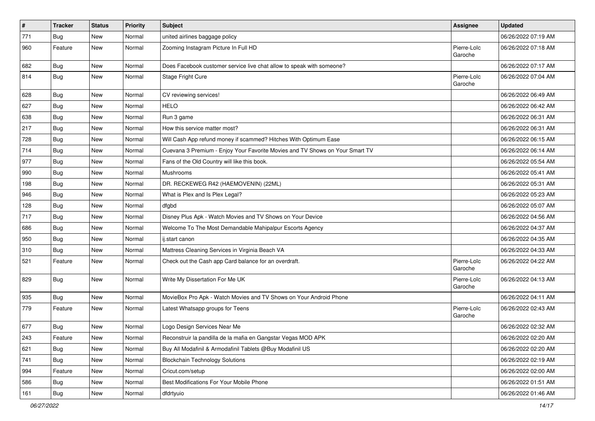| $\sharp$ | <b>Tracker</b> | <b>Status</b> | <b>Priority</b> | Subject                                                                      | <b>Assignee</b>        | <b>Updated</b>      |
|----------|----------------|---------------|-----------------|------------------------------------------------------------------------------|------------------------|---------------------|
| 771      | <b>Bug</b>     | New           | Normal          | united airlines baggage policy                                               |                        | 06/26/2022 07:19 AM |
| 960      | Feature        | New           | Normal          | Zooming Instagram Picture In Full HD                                         | Pierre-Loïc<br>Garoche | 06/26/2022 07:18 AM |
| 682      | <b>Bug</b>     | New           | Normal          | Does Facebook customer service live chat allow to speak with someone?        |                        | 06/26/2022 07:17 AM |
| 814      | Bug            | New           | Normal          | Stage Fright Cure                                                            | Pierre-Loïc<br>Garoche | 06/26/2022 07:04 AM |
| 628      | Bug            | New           | Normal          | CV reviewing services!                                                       |                        | 06/26/2022 06:49 AM |
| 627      | <b>Bug</b>     | New           | Normal          | <b>HELO</b>                                                                  |                        | 06/26/2022 06:42 AM |
| 638      | Bug            | New           | Normal          | Run 3 game                                                                   |                        | 06/26/2022 06:31 AM |
| 217      | Bug            | <b>New</b>    | Normal          | How this service matter most?                                                |                        | 06/26/2022 06:31 AM |
| 728      | Bug            | New           | Normal          | Will Cash App refund money if scammed? Hitches With Optimum Ease             |                        | 06/26/2022 06:15 AM |
| 714      | <b>Bug</b>     | New           | Normal          | Cuevana 3 Premium - Enjoy Your Favorite Movies and TV Shows on Your Smart TV |                        | 06/26/2022 06:14 AM |
| 977      | Bug            | New           | Normal          | Fans of the Old Country will like this book.                                 |                        | 06/26/2022 05:54 AM |
| 990      | <b>Bug</b>     | New           | Normal          | Mushrooms                                                                    |                        | 06/26/2022 05:41 AM |
| 198      | <b>Bug</b>     | New           | Normal          | DR. RECKEWEG R42 (HAEMOVENIN) (22ML)                                         |                        | 06/26/2022 05:31 AM |
| 946      | Bug            | New           | Normal          | What is Plex and Is Plex Legal?                                              |                        | 06/26/2022 05:23 AM |
| 128      | <b>Bug</b>     | <b>New</b>    | Normal          | dfgbd                                                                        |                        | 06/26/2022 05:07 AM |
| 717      | Bug            | New           | Normal          | Disney Plus Apk - Watch Movies and TV Shows on Your Device                   |                        | 06/26/2022 04:56 AM |
| 686      | <b>Bug</b>     | New           | Normal          | Welcome To The Most Demandable Mahipalpur Escorts Agency                     |                        | 06/26/2022 04:37 AM |
| 950      | Bug            | New           | Normal          | ij.start canon                                                               |                        | 06/26/2022 04:35 AM |
| 310      | <b>Bug</b>     | New           | Normal          | Mattress Cleaning Services in Virginia Beach VA                              |                        | 06/26/2022 04:33 AM |
| 521      | Feature        | New           | Normal          | Check out the Cash app Card balance for an overdraft.                        | Pierre-Loïc<br>Garoche | 06/26/2022 04:22 AM |
| 829      | Bug            | New           | Normal          | Write My Dissertation For Me UK                                              | Pierre-Loïc<br>Garoche | 06/26/2022 04:13 AM |
| 935      | Bug            | New           | Normal          | MovieBox Pro Apk - Watch Movies and TV Shows on Your Android Phone           |                        | 06/26/2022 04:11 AM |
| 779      | Feature        | New           | Normal          | Latest Whatsapp groups for Teens                                             | Pierre-Loïc<br>Garoche | 06/26/2022 02:43 AM |
| 677      | <b>Bug</b>     | New           | Normal          | Logo Design Services Near Me                                                 |                        | 06/26/2022 02:32 AM |
| 243      | Feature        | New           | Normal          | Reconstruir la pandilla de la mafia en Gangstar Vegas MOD APK                |                        | 06/26/2022 02:20 AM |
| 621      | Bug            | New           | Normal          | Buy All Modafinil & Armodafinil Tablets @Buy Modafinil US                    |                        | 06/26/2022 02:20 AM |
| 741      | Bug            | New           | Normal          | <b>Blockchain Technology Solutions</b>                                       |                        | 06/26/2022 02:19 AM |
| 994      | Feature        | New           | Normal          | Cricut.com/setup                                                             |                        | 06/26/2022 02:00 AM |
| 586      | Bug            | New           | Normal          | Best Modifications For Your Mobile Phone                                     |                        | 06/26/2022 01:51 AM |
| 161      | Bug            | New           | Normal          | dfdrtyuio                                                                    |                        | 06/26/2022 01:46 AM |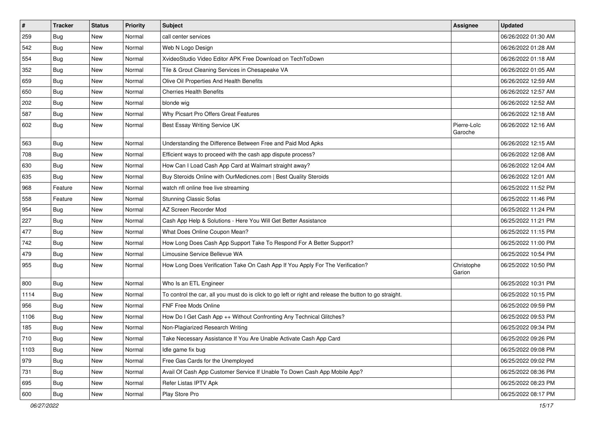| $\vert$ # | <b>Tracker</b> | <b>Status</b> | <b>Priority</b> | <b>Subject</b>                                                                                          | <b>Assignee</b>        | <b>Updated</b>      |
|-----------|----------------|---------------|-----------------|---------------------------------------------------------------------------------------------------------|------------------------|---------------------|
| 259       | <b>Bug</b>     | New           | Normal          | call center services                                                                                    |                        | 06/26/2022 01:30 AM |
| 542       | Bug            | New           | Normal          | Web N Logo Design                                                                                       |                        | 06/26/2022 01:28 AM |
| 554       | Bug            | New           | Normal          | XvideoStudio Video Editor APK Free Download on TechToDown                                               |                        | 06/26/2022 01:18 AM |
| 352       | Bug            | <b>New</b>    | Normal          | Tile & Grout Cleaning Services in Chesapeake VA                                                         |                        | 06/26/2022 01:05 AM |
| 659       | Bug            | New           | Normal          | Olive Oil Properties And Health Benefits                                                                |                        | 06/26/2022 12:59 AM |
| 650       | <b>Bug</b>     | New           | Normal          | <b>Cherries Health Benefits</b>                                                                         |                        | 06/26/2022 12:57 AM |
| 202       | Bug            | New           | Normal          | blonde wig                                                                                              |                        | 06/26/2022 12:52 AM |
| 587       | <b>Bug</b>     | New           | Normal          | Why Picsart Pro Offers Great Features                                                                   |                        | 06/26/2022 12:18 AM |
| 602       | <b>Bug</b>     | New           | Normal          | Best Essay Writing Service UK                                                                           | Pierre-Loïc<br>Garoche | 06/26/2022 12:16 AM |
| 563       | Bug            | New           | Normal          | Understanding the Difference Between Free and Paid Mod Apks                                             |                        | 06/26/2022 12:15 AM |
| 708       | <b>Bug</b>     | New           | Normal          | Efficient ways to proceed with the cash app dispute process?                                            |                        | 06/26/2022 12:08 AM |
| 630       | Bug            | New           | Normal          | How Can I Load Cash App Card at Walmart straight away?                                                  |                        | 06/26/2022 12:04 AM |
| 635       | Bug            | New           | Normal          | Buy Steroids Online with OurMedicnes.com   Best Quality Steroids                                        |                        | 06/26/2022 12:01 AM |
| 968       | Feature        | New           | Normal          | watch nfl online free live streaming                                                                    |                        | 06/25/2022 11:52 PM |
| 558       | Feature        | New           | Normal          | <b>Stunning Classic Sofas</b>                                                                           |                        | 06/25/2022 11:46 PM |
| 954       | <b>Bug</b>     | New           | Normal          | AZ Screen Recorder Mod                                                                                  |                        | 06/25/2022 11:24 PM |
| 227       | Bug            | New           | Normal          | Cash App Help & Solutions - Here You Will Get Better Assistance                                         |                        | 06/25/2022 11:21 PM |
| 477       | <b>Bug</b>     | New           | Normal          | What Does Online Coupon Mean?                                                                           |                        | 06/25/2022 11:15 PM |
| 742       | Bug            | New           | Normal          | How Long Does Cash App Support Take To Respond For A Better Support?                                    |                        | 06/25/2022 11:00 PM |
| 479       | Bug            | New           | Normal          | Limousine Service Bellevue WA                                                                           |                        | 06/25/2022 10:54 PM |
| 955       | <b>Bug</b>     | New           | Normal          | How Long Does Verification Take On Cash App If You Apply For The Verification?                          | Christophe<br>Garion   | 06/25/2022 10:50 PM |
| 800       | Bug            | New           | Normal          | Who Is an ETL Engineer                                                                                  |                        | 06/25/2022 10:31 PM |
| 1114      | <b>Bug</b>     | New           | Normal          | To control the car, all you must do is click to go left or right and release the button to go straight. |                        | 06/25/2022 10:15 PM |
| 956       | Bug            | New           | Normal          | FNF Free Mods Online                                                                                    |                        | 06/25/2022 09:59 PM |
| 1106      | <b>Bug</b>     | New           | Normal          | How Do I Get Cash App ++ Without Confronting Any Technical Glitches?                                    |                        | 06/25/2022 09:53 PM |
| 185       | <b>Bug</b>     | New           | Normal          | Non-Plagiarized Research Writing                                                                        |                        | 06/25/2022 09:34 PM |
| 710       | Bug            | New           | Normal          | Take Necessary Assistance If You Are Unable Activate Cash App Card                                      |                        | 06/25/2022 09:26 PM |
| 1103      | Bug            | New           | Normal          | Idle game fix bug                                                                                       |                        | 06/25/2022 09:08 PM |
| 979       | Bug            | New           | Normal          | Free Gas Cards for the Unemployed                                                                       |                        | 06/25/2022 09:02 PM |
| 731       | Bug            | New           | Normal          | Avail Of Cash App Customer Service If Unable To Down Cash App Mobile App?                               |                        | 06/25/2022 08:36 PM |
| 695       | <b>Bug</b>     | New           | Normal          | Refer Listas IPTV Apk                                                                                   |                        | 06/25/2022 08:23 PM |
| 600       | <b>Bug</b>     | New           | Normal          | Play Store Pro                                                                                          |                        | 06/25/2022 08:17 PM |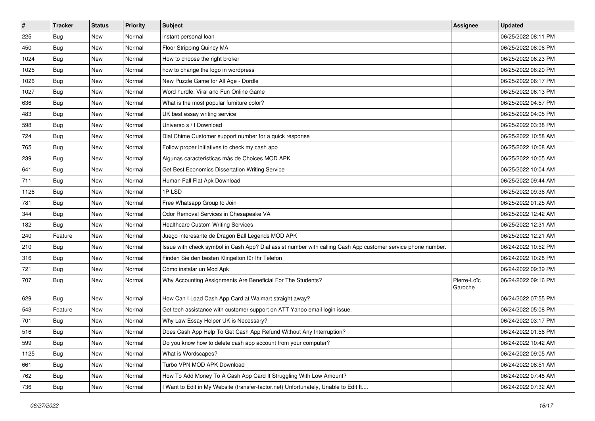| $\vert$ # | <b>Tracker</b> | <b>Status</b> | <b>Priority</b> | Subject                                                                                                      | Assignee               | <b>Updated</b>      |
|-----------|----------------|---------------|-----------------|--------------------------------------------------------------------------------------------------------------|------------------------|---------------------|
| 225       | Bug            | New           | Normal          | instant personal loan                                                                                        |                        | 06/25/2022 08:11 PM |
| 450       | Bug            | <b>New</b>    | Normal          | Floor Stripping Quincy MA                                                                                    |                        | 06/25/2022 08:06 PM |
| 1024      | Bug            | New           | Normal          | How to choose the right broker                                                                               |                        | 06/25/2022 06:23 PM |
| 1025      | <b>Bug</b>     | New           | Normal          | how to change the logo in wordpress                                                                          |                        | 06/25/2022 06:20 PM |
| 1026      | Bug            | New           | Normal          | New Puzzle Game for All Age - Dordle                                                                         |                        | 06/25/2022 06:17 PM |
| 1027      | <b>Bug</b>     | New           | Normal          | Word hurdle: Viral and Fun Online Game                                                                       |                        | 06/25/2022 06:13 PM |
| 636       | <b>Bug</b>     | New           | Normal          | What is the most popular furniture color?                                                                    |                        | 06/25/2022 04:57 PM |
| 483       | Bug            | New           | Normal          | UK best essay writing service                                                                                |                        | 06/25/2022 04:05 PM |
| 598       | <b>Bug</b>     | New           | Normal          | Universo s / f Download                                                                                      |                        | 06/25/2022 03:38 PM |
| 724       | Bug            | New           | Normal          | Dial Chime Customer support number for a quick response                                                      |                        | 06/25/2022 10:58 AM |
| 765       | <b>Bug</b>     | New           | Normal          | Follow proper initiatives to check my cash app                                                               |                        | 06/25/2022 10:08 AM |
| 239       | Bug            | New           | Normal          | Algunas características más de Choices MOD APK                                                               |                        | 06/25/2022 10:05 AM |
| 641       | <b>Bug</b>     | New           | Normal          | Get Best Economics Dissertation Writing Service                                                              |                        | 06/25/2022 10:04 AM |
| 711       | <b>Bug</b>     | New           | Normal          | Human Fall Flat Apk Download                                                                                 |                        | 06/25/2022 09:44 AM |
| 1126      | Bug            | New           | Normal          | 1PLSD                                                                                                        |                        | 06/25/2022 09:36 AM |
| 781       | <b>Bug</b>     | New           | Normal          | Free Whatsapp Group to Join                                                                                  |                        | 06/25/2022 01:25 AM |
| 344       | Bug            | New           | Normal          | Odor Removal Services in Chesapeake VA                                                                       |                        | 06/25/2022 12:42 AM |
| 182       | Bug            | New           | Normal          | <b>Healthcare Custom Writing Services</b>                                                                    |                        | 06/25/2022 12:31 AM |
| 240       | Feature        | New           | Normal          | Juego interesante de Dragon Ball Legends MOD APK                                                             |                        | 06/25/2022 12:21 AM |
| 210       | Bug            | New           | Normal          | Issue with check symbol in Cash App? Dial assist number with calling Cash App customer service phone number. |                        | 06/24/2022 10:52 PM |
| 316       | <b>Bug</b>     | New           | Normal          | Finden Sie den besten Klingelton für Ihr Telefon                                                             |                        | 06/24/2022 10:28 PM |
| 721       | <b>Bug</b>     | New           | Normal          | Cómo instalar un Mod Apk                                                                                     |                        | 06/24/2022 09:39 PM |
| 707       | Bug            | New           | Normal          | Why Accounting Assignments Are Beneficial For The Students?                                                  | Pierre-Loïc<br>Garoche | 06/24/2022 09:16 PM |
| 629       | Bug            | New           | Normal          | How Can I Load Cash App Card at Walmart straight away?                                                       |                        | 06/24/2022 07:55 PM |
| 543       | Feature        | New           | Normal          | Get tech assistance with customer support on ATT Yahoo email login issue.                                    |                        | 06/24/2022 05:08 PM |
| 701       | Bug            | New           | Normal          | Why Law Essay Helper UK is Necessary?                                                                        |                        | 06/24/2022 03:17 PM |
| 516       | Bug            | New           | Normal          | Does Cash App Help To Get Cash App Refund Without Any Interruption?                                          |                        | 06/24/2022 01:56 PM |
| 599       | <b>Bug</b>     | New           | Normal          | Do you know how to delete cash app account from your computer?                                               |                        | 06/24/2022 10:42 AM |
| 1125      | Bug            | New           | Normal          | What is Wordscapes?                                                                                          |                        | 06/24/2022 09:05 AM |
| 661       | Bug            | New           | Normal          | Turbo VPN MOD APK Download                                                                                   |                        | 06/24/2022 08:51 AM |
| 762       | <b>Bug</b>     | New           | Normal          | How To Add Money To A Cash App Card If Struggling With Low Amount?                                           |                        | 06/24/2022 07:48 AM |
| 736       | Bug            | New           | Normal          | Want to Edit in My Website (transfer-factor.net) Unfortunately, Unable to Edit It                            |                        | 06/24/2022 07:32 AM |